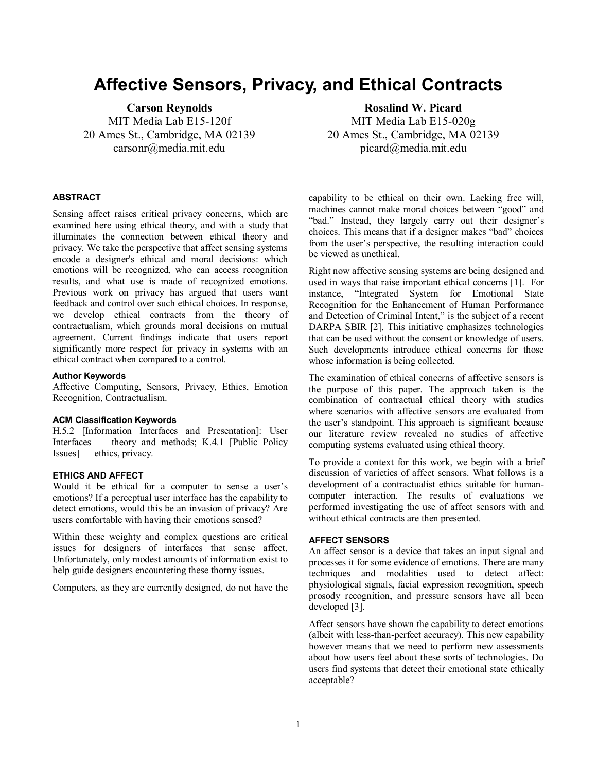# **Affective Sensors, Privacy, and Ethical Contracts**

**Carson Reynolds**  MIT Media Lab E15-120f 20 Ames St., Cambridge, MA 02139 carsonr@media.mit.edu

#### **ABSTRACT**

Sensing affect raises critical privacy concerns, which are examined here using ethical theory, and with a study that illuminates the connection between ethical theory and privacy. We take the perspective that affect sensing systems encode a designer's ethical and moral decisions: which emotions will be recognized, who can access recognition results, and what use is made of recognized emotions. Previous work on privacy has argued that users want feedback and control over such ethical choices. In response, we develop ethical contracts from the theory of contractualism, which grounds moral decisions on mutual agreement. Current findings indicate that users report significantly more respect for privacy in systems with an ethical contract when compared to a control.

#### **Author Keywords**

Affective Computing, Sensors, Privacy, Ethics, Emotion Recognition, Contractualism.

#### **ACM Classification Keywords**

H.5.2 [Information Interfaces and Presentation]: User Interfaces — theory and methods; K.4.1 [Public Policy Issues] — ethics, privacy.

### **ETHICS AND AFFECT**

Would it be ethical for a computer to sense a user's emotions? If a perceptual user interface has the capability to detect emotions, would this be an invasion of privacy? Are users comfortable with having their emotions sensed?

Within these weighty and complex questions are critical issues for designers of interfaces that sense affect. Unfortunately, only modest amounts of information exist to help guide designers encountering these thorny issues.

Computers, as they are currently designed, do not have the

**Rosalind W. Picard**  MIT Media Lab E15-020g 20 Ames St., Cambridge, MA 02139 picard@media.mit.edu

capability to be ethical on their own. Lacking free will, machines cannot make moral choices between "good" and "bad." Instead, they largely carry out their designer's choices. This means that if a designer makes "bad" choices from the user's perspective, the resulting interaction could be viewed as unethical.

Right now affective sensing systems are being designed and used in ways that raise important ethical concerns [1]. For instance, "Integrated System for Emotional State Recognition for the Enhancement of Human Performance and Detection of Criminal Intent," is the subject of a recent DARPA SBIR [2]. This initiative emphasizes technologies that can be used without the consent or knowledge of users. Such developments introduce ethical concerns for those whose information is being collected.

The examination of ethical concerns of affective sensors is the purpose of this paper. The approach taken is the combination of contractual ethical theory with studies where scenarios with affective sensors are evaluated from the user's standpoint. This approach is significant because our literature review revealed no studies of affective computing systems evaluated using ethical theory.

To provide a context for this work, we begin with a brief discussion of varieties of affect sensors. What follows is a development of a contractualist ethics suitable for humancomputer interaction. The results of evaluations we performed investigating the use of affect sensors with and without ethical contracts are then presented.

#### **AFFECT SENSORS**

An affect sensor is a device that takes an input signal and processes it for some evidence of emotions. There are many techniques and modalities used to detect affect: physiological signals, facial expression recognition, speech prosody recognition, and pressure sensors have all been developed [3].

Affect sensors have shown the capability to detect emotions (albeit with less-than-perfect accuracy). This new capability however means that we need to perform new assessments about how users feel about these sorts of technologies. Do users find systems that detect their emotional state ethically acceptable?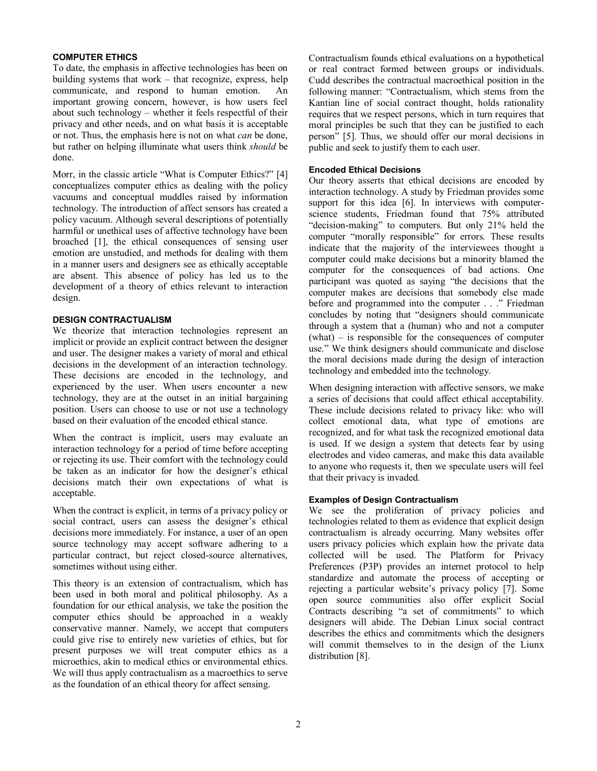#### **COMPUTER ETHICS**

To date, the emphasis in affective technologies has been on building systems that work – that recognize, express, help communicate, and respond to human emotion. An important growing concern, however, is how users feel about such technology – whether it feels respectful of their privacy and other needs, and on what basis it is acceptable or not. Thus, the emphasis here is not on what *can* be done, but rather on helping illuminate what users think *should* be done.

Morr, in the classic article "What is Computer Ethics?" [4] conceptualizes computer ethics as dealing with the policy vacuums and conceptual muddles raised by information technology. The introduction of affect sensors has created a policy vacuum. Although several descriptions of potentially harmful or unethical uses of affective technology have been broached [1], the ethical consequences of sensing user emotion are unstudied, and methods for dealing with them in a manner users and designers see as ethically acceptable are absent. This absence of policy has led us to the development of a theory of ethics relevant to interaction design.

#### **DESIGN CONTRACTUALISM**

We theorize that interaction technologies represent an implicit or provide an explicit contract between the designer and user. The designer makes a variety of moral and ethical decisions in the development of an interaction technology. These decisions are encoded in the technology, and experienced by the user. When users encounter a new technology, they are at the outset in an initial bargaining position. Users can choose to use or not use a technology based on their evaluation of the encoded ethical stance.

When the contract is implicit, users may evaluate an interaction technology for a period of time before accepting or rejecting its use. Their comfort with the technology could be taken as an indicator for how the designer's ethical decisions match their own expectations of what is acceptable.

When the contract is explicit, in terms of a privacy policy or social contract, users can assess the designer's ethical decisions more immediately. For instance, a user of an open source technology may accept software adhering to a particular contract, but reject closed-source alternatives, sometimes without using either.

This theory is an extension of contractualism, which has been used in both moral and political philosophy. As a foundation for our ethical analysis, we take the position the computer ethics should be approached in a weakly conservative manner. Namely, we accept that computers could give rise to entirely new varieties of ethics, but for present purposes we will treat computer ethics as a microethics, akin to medical ethics or environmental ethics. We will thus apply contractualism as a macroethics to serve as the foundation of an ethical theory for affect sensing.

Contractualism founds ethical evaluations on a hypothetical or real contract formed between groups or individuals. Cudd describes the contractual macroethical position in the following manner: "Contractualism, which stems from the Kantian line of social contract thought, holds rationality requires that we respect persons, which in turn requires that moral principles be such that they can be justified to each person" [5]. Thus, we should offer our moral decisions in public and seek to justify them to each user.

#### **Encoded Ethical Decisions**

Our theory asserts that ethical decisions are encoded by interaction technology. A study by Friedman provides some support for this idea [6]. In interviews with computerscience students, Friedman found that 75% attributed "decision-making" to computers. But only 21% held the computer "morally responsible" for errors. These results indicate that the majority of the interviewees thought a computer could make decisions but a minority blamed the computer for the consequences of bad actions. One participant was quoted as saying "the decisions that the computer makes are decisions that somebody else made before and programmed into the computer . . ." Friedman concludes by noting that "designers should communicate through a system that a (human) who and not a computer (what) – is responsible for the consequences of computer use." We think designers should communicate and disclose the moral decisions made during the design of interaction technology and embedded into the technology.

When designing interaction with affective sensors, we make a series of decisions that could affect ethical acceptability. These include decisions related to privacy like: who will collect emotional data, what type of emotions are recognized, and for what task the recognized emotional data is used. If we design a system that detects fear by using electrodes and video cameras, and make this data available to anyone who requests it, then we speculate users will feel that their privacy is invaded.

### **Examples of Design Contractualism**

We see the proliferation of privacy policies and technologies related to them as evidence that explicit design contractualism is already occurring. Many websites offer users privacy policies which explain how the private data collected will be used. The Platform for Privacy Preferences (P3P) provides an internet protocol to help standardize and automate the process of accepting or rejecting a particular website's privacy policy [7]. Some open source communities also offer explicit Social Contracts describing "a set of commitments" to which designers will abide. The Debian Linux social contract describes the ethics and commitments which the designers will commit themselves to in the design of the Liunx distribution [8].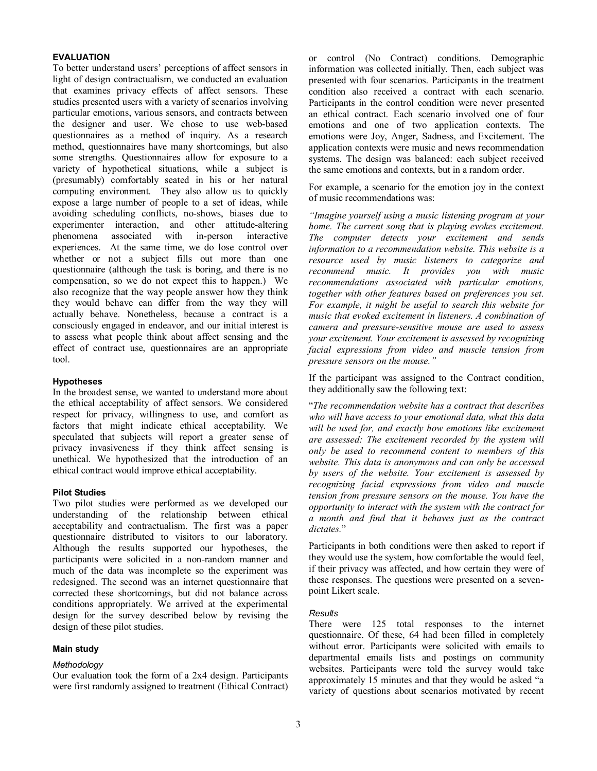#### **EVALUATION**

To better understand users' perceptions of affect sensors in light of design contractualism, we conducted an evaluation that examines privacy effects of affect sensors. These studies presented users with a variety of scenarios involving particular emotions, various sensors, and contracts between the designer and user. We chose to use web-based questionnaires as a method of inquiry. As a research method, questionnaires have many shortcomings, but also some strengths. Questionnaires allow for exposure to a variety of hypothetical situations, while a subject is (presumably) comfortably seated in his or her natural computing environment. They also allow us to quickly expose a large number of people to a set of ideas, while avoiding scheduling conflicts, no-shows, biases due to experimenter interaction, and other attitude-altering phenomena associated with in-person interactive experiences. At the same time, we do lose control over whether or not a subject fills out more than one questionnaire (although the task is boring, and there is no compensation, so we do not expect this to happen.) We also recognize that the way people answer how they think they would behave can differ from the way they will actually behave. Nonetheless, because a contract is a consciously engaged in endeavor, and our initial interest is to assess what people think about affect sensing and the effect of contract use, questionnaires are an appropriate tool.

#### **Hypotheses**

In the broadest sense, we wanted to understand more about the ethical acceptability of affect sensors. We considered respect for privacy, willingness to use, and comfort as factors that might indicate ethical acceptability. We speculated that subjects will report a greater sense of privacy invasiveness if they think affect sensing is unethical. We hypothesized that the introduction of an ethical contract would improve ethical acceptability.

#### **Pilot Studies**

Two pilot studies were performed as we developed our understanding of the relationship between ethical acceptability and contractualism. The first was a paper questionnaire distributed to visitors to our laboratory. Although the results supported our hypotheses, the participants were solicited in a non-random manner and much of the data was incomplete so the experiment was redesigned. The second was an internet questionnaire that corrected these shortcomings, but did not balance across conditions appropriately. We arrived at the experimental design for the survey described below by revising the design of these pilot studies.

## **Main study**

## *Methodology*

Our evaluation took the form of a 2x4 design. Participants were first randomly assigned to treatment (Ethical Contract) or control (No Contract) conditions. Demographic information was collected initially. Then, each subject was presented with four scenarios. Participants in the treatment condition also received a contract with each scenario. Participants in the control condition were never presented an ethical contract. Each scenario involved one of four emotions and one of two application contexts. The emotions were Joy, Anger, Sadness, and Excitement. The application contexts were music and news recommendation systems. The design was balanced: each subject received the same emotions and contexts, but in a random order.

For example, a scenario for the emotion joy in the context of music recommendations was:

*"Imagine yourself using a music listening program at your home. The current song that is playing evokes excitement. The computer detects your excitement and sends information to a recommendation website. This website is a resource used by music listeners to categorize and recommend music. It provides you with music recommendations associated with particular emotions, together with other features based on preferences you set. For example, it might be useful to search this website for music that evoked excitement in listeners. A combination of camera and pressure-sensitive mouse are used to assess your excitement. Your excitement is assessed by recognizing facial expressions from video and muscle tension from pressure sensors on the mouse."*

If the participant was assigned to the Contract condition, they additionally saw the following text:

"*The recommendation website has a contract that describes who will have access to your emotional data, what this data will be used for, and exactly how emotions like excitement are assessed: The excitement recorded by the system will only be used to recommend content to members of this website. This data is anonymous and can only be accessed by users of the website. Your excitement is assessed by recognizing facial expressions from video and muscle tension from pressure sensors on the mouse. You have the opportunity to interact with the system with the contract for a month and find that it behaves just as the contract dictates.*"

Participants in both conditions were then asked to report if they would use the system, how comfortable the would feel, if their privacy was affected, and how certain they were of these responses. The questions were presented on a sevenpoint Likert scale.

### *Results*

There were 125 total responses to the internet questionnaire. Of these, 64 had been filled in completely without error. Participants were solicited with emails to departmental emails lists and postings on community websites. Participants were told the survey would take approximately 15 minutes and that they would be asked "a variety of questions about scenarios motivated by recent